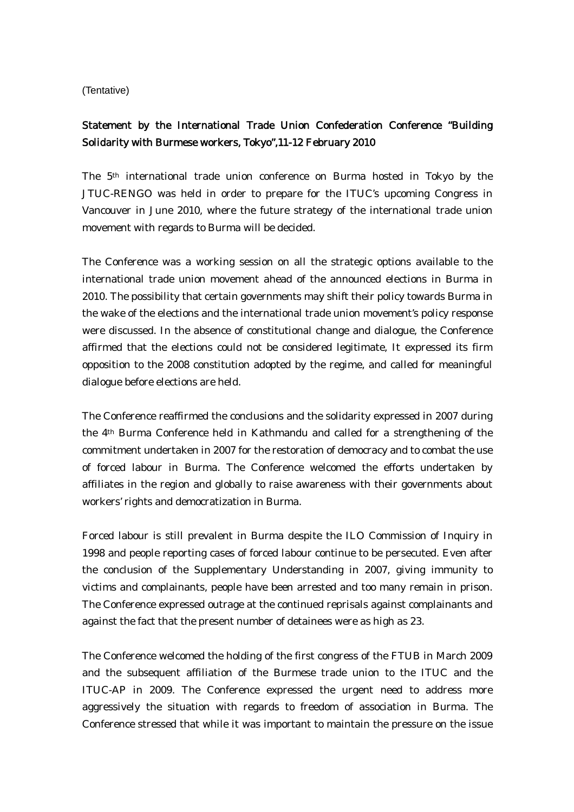(Tentative)

## Statement by the International Trade Union Confederation Conference "Building Solidarity with Burmese workers, Tokyo",11-12 February 2010

The 5th international trade union conference on Burma hosted in Tokyo by the JTUC-RENGO was held in order to prepare for the ITUC's upcoming Congress in Vancouver in June 2010, where the future strategy of the international trade union movement with regards to Burma will be decided.

The Conference was a working session on all the strategic options available to the international trade union movement ahead of the announced elections in Burma in 2010. The possibility that certain governments may shift their policy towards Burma in the wake of the elections and the international trade union movement's policy response were discussed. In the absence of constitutional change and dialogue, the Conference affirmed that the elections could not be considered legitimate, It expressed its firm opposition to the 2008 constitution adopted by the regime, and called for meaningful dialogue before elections are held.

The Conference reaffirmed the conclusions and the solidarity expressed in 2007 during the 4th Burma Conference held in Kathmandu and called for a strengthening of the commitment undertaken in 2007 for the restoration of democracy and to combat the use of forced labour in Burma. The Conference welcomed the efforts undertaken by affiliates in the region and globally to raise awareness with their governments about workers' rights and democratization in Burma.

Forced labour is still prevalent in Burma despite the ILO Commission of Inquiry in 1998 and people reporting cases of forced labour continue to be persecuted. Even after the conclusion of the Supplementary Understanding in 2007, giving immunity to victims and complainants, people have been arrested and too many remain in prison. The Conference expressed outrage at the continued reprisals against complainants and against the fact that the present number of detainees were as high as 23.

The Conference welcomed the holding of the first congress of the FTUB in March 2009 and the subsequent affiliation of the Burmese trade union to the ITUC and the ITUC-AP in 2009. The Conference expressed the urgent need to address more aggressively the situation with regards to freedom of association in Burma. The Conference stressed that while it was important to maintain the pressure on the issue